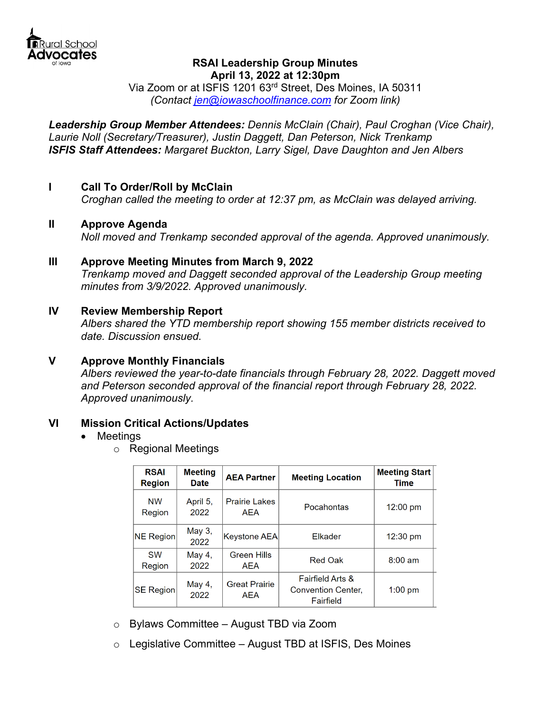

# **RSAI Leadership Group Minutes April 13, 2022 at 12:30pm**

Via Zoom or at ISFIS 1201 63rd Street, Des Moines, IA 50311 *(Contact jen@iowaschoolfinance.com for Zoom link)* 

*Leadership Group Member Attendees: Dennis McClain (Chair), Paul Croghan (Vice Chair), Laurie Noll (Secretary/Treasurer), Justin Daggett, Dan Peterson, Nick Trenkamp ISFIS Staff Attendees: Margaret Buckton, Larry Sigel, Dave Daughton and Jen Albers* 

# **I Call To Order/Roll by McClain**

 *Croghan called the meeting to order at 12:37 pm, as McClain was delayed arriving.* 

## **II Approve Agenda**

 *Noll moved and Trenkamp seconded approval of the agenda. Approved unanimously.* 

**III Approve Meeting Minutes from March 9, 2022**  *Trenkamp moved and Daggett seconded approval of the Leadership Group meeting minutes from 3/9/2022. Approved unanimously.* 

## **IV Review Membership Report**

*Albers shared the YTD membership report showing 155 member districts received to date. Discussion ensued.* 

## **V Approve Monthly Financials**

*Albers reviewed the year-to-date financials through February 28, 2022. Daggett moved and Peterson seconded approval of the financial report through February 28, 2022. Approved unanimously.* 

## **VI Mission Critical Actions/Updates**

#### • Meetings

o Regional Meetings

| <b>RSAI</b><br><b>Region</b> | <b>Meeting</b><br><b>Date</b> | <b>AEA Partner</b>                 | <b>Meeting Location</b>                                               | <b>Meeting Start</b><br><b>Time</b> |
|------------------------------|-------------------------------|------------------------------------|-----------------------------------------------------------------------|-------------------------------------|
| <b>NW</b><br>Region          | April 5,<br>2022              | <b>Prairie Lakes</b><br>AEA        | Pocahontas                                                            | $12:00 \text{ pm}$                  |
| NE Region                    | May 3,<br>2022                | Keystone AEA                       | Elkader                                                               | $12:30 \text{ pm}$                  |
| <b>SW</b><br>Region          | May 4,<br>2022                | <b>Green Hills</b><br>AEA          | <b>Red Oak</b>                                                        | $8:00 \text{ am}$                   |
| SE Region                    | May 4,<br>2022                | <b>Great Prairie</b><br><b>AEA</b> | <b>Fairfield Arts &amp;</b><br><b>Convention Center,</b><br>Fairfield | $1:00$ pm                           |

- o Bylaws Committee August TBD via Zoom
- $\circ$  Legislative Committee August TBD at ISFIS, Des Moines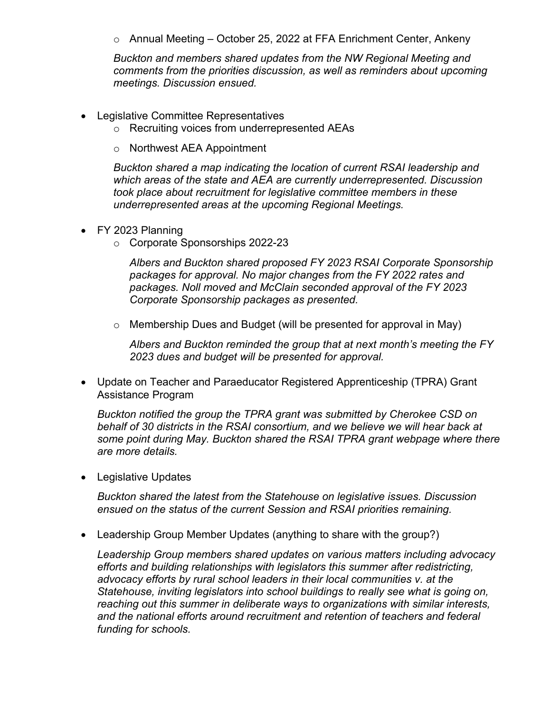o Annual Meeting – October 25, 2022 at FFA Enrichment Center, Ankeny

*Buckton and members shared updates from the NW Regional Meeting and comments from the priorities discussion, as well as reminders about upcoming meetings. Discussion ensued.*

- Legislative Committee Representatives
	- o Recruiting voices from underrepresented AEAs
	- o Northwest AEA Appointment

*Buckton shared a map indicating the location of current RSAI leadership and which areas of the state and AEA are currently underrepresented. Discussion took place about recruitment for legislative committee members in these underrepresented areas at the upcoming Regional Meetings.* 

- FY 2023 Planning
	- o Corporate Sponsorships 2022-23

*Albers and Buckton shared proposed FY 2023 RSAI Corporate Sponsorship packages for approval. No major changes from the FY 2022 rates and packages. Noll moved and McClain seconded approval of the FY 2023 Corporate Sponsorship packages as presented.* 

o Membership Dues and Budget (will be presented for approval in May)

*Albers and Buckton reminded the group that at next month's meeting the FY 2023 dues and budget will be presented for approval.* 

 Update on Teacher and Paraeducator Registered Apprenticeship (TPRA) Grant Assistance Program

*Buckton notified the group the TPRA grant was submitted by Cherokee CSD on behalf of 30 districts in the RSAI consortium, and we believe we will hear back at some point during May. Buckton shared the RSAI TPRA grant webpage where there are more details.* 

• Legislative Updates

*Buckton shared the latest from the Statehouse on legislative issues. Discussion ensued on the status of the current Session and RSAI priorities remaining.* 

Leadership Group Member Updates (anything to share with the group?)

*Leadership Group members shared updates on various matters including advocacy efforts and building relationships with legislators this summer after redistricting, advocacy efforts by rural school leaders in their local communities v. at the Statehouse, inviting legislators into school buildings to really see what is going on, reaching out this summer in deliberate ways to organizations with similar interests, and the national efforts around recruitment and retention of teachers and federal funding for schools.*